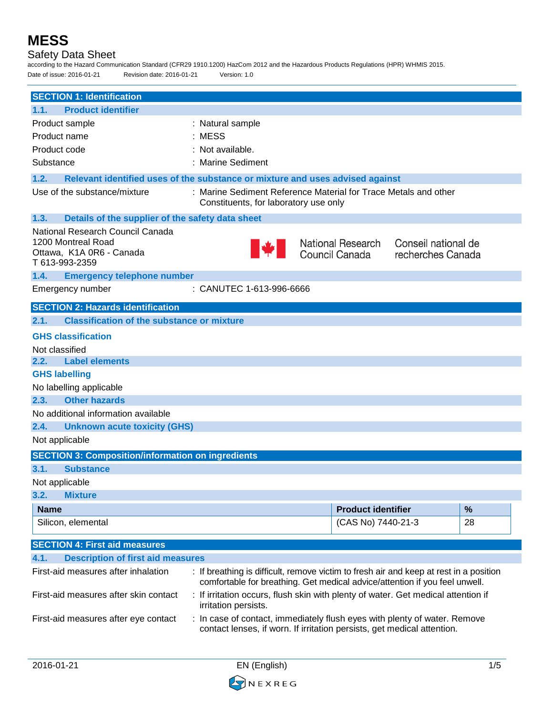## Safety Data Sheet

according to the Hazard Communication Standard (CFR29 1910.1200) HazCom 2012 and the Hazardous Products Regulations (HPR) WHMIS 2015. Date of issue: 2016-01-21 Revision date: 2016-01-21 Version: 1.0 **SECTION 1: Identification 1.1. Product identifier** Product sample : Natural sample Product name : MESS Product code : Not available. Substance : Marine Sediment **1.2. Relevant identified uses of the substance or mixture and uses advised against** Use of the substance/mixture : Marine Sediment Reference Material for Trace Metals and other Constituents, for laboratory use only **1.3. Details of the supplier of the safety data sheet** National Research Council Canada 1200 Montreal Road **National Research** Conseil national de Ottawa, K1A 0R6 - Canada Council Canada recherches Canada T 613-993-2359 **1.4. Emergency telephone number** Emergency number : CANUTEC 1-613-996-6666 **SECTION 2: Hazards identification 2.1. Classification of the substance or mixture GHS classification** Not classified **2.2. Label elements GHS labelling** No labelling applicable **2.3. Other hazards** No additional information available **2.4. Unknown acute toxicity (GHS)** Not applicable **SECTION 3: Composition/information on ingredients 3.1. Substance** Not applicable **3.2. Mixture Name Product identifier %** Silicon, elemental 28 **SECTION 4: First aid measures 4.1. Description of first aid measures** First-aid measures after inhalation : If breathing is difficult, remove victim to fresh air and keep at rest in a position comfortable for breathing. Get medical advice/attention if you feel unwell. First-aid measures after skin contact : If irritation occurs, flush skin with plenty of water. Get medical attention if irritation persists.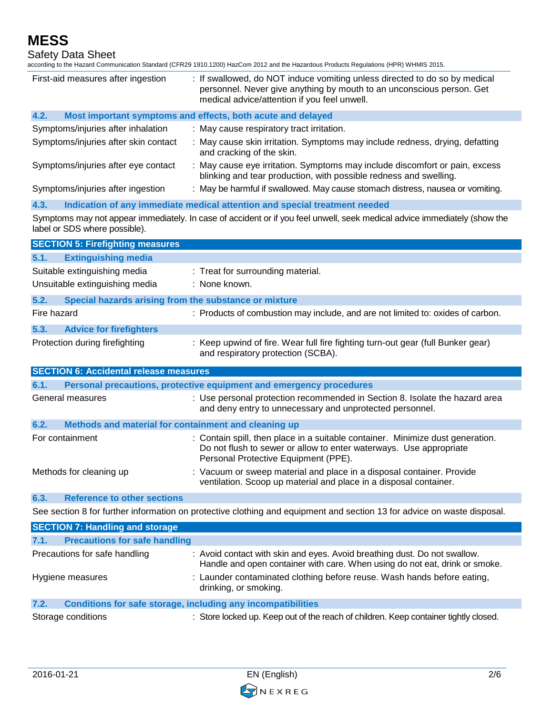Safety Data Sheet

according to the Hazard Communication Standard (CFR29 1910.1200) HazCom 2012 and the Hazardous Products Regulations (HPR) WHMIS 2015.

| First-aid measures after ingestion                                                                                      | : If swallowed, do NOT induce vomiting unless directed to do so by medical<br>personnel. Never give anything by mouth to an unconscious person. Get<br>medical advice/attention if you feel unwell. |
|-------------------------------------------------------------------------------------------------------------------------|-----------------------------------------------------------------------------------------------------------------------------------------------------------------------------------------------------|
| 4.2.                                                                                                                    | Most important symptoms and effects, both acute and delayed                                                                                                                                         |
| Symptoms/injuries after inhalation                                                                                      | : May cause respiratory tract irritation.                                                                                                                                                           |
| Symptoms/injuries after skin contact                                                                                    | : May cause skin irritation. Symptoms may include redness, drying, defatting<br>and cracking of the skin.                                                                                           |
| Symptoms/injuries after eye contact                                                                                     | : May cause eye irritation. Symptoms may include discomfort or pain, excess<br>blinking and tear production, with possible redness and swelling.                                                    |
| Symptoms/injuries after ingestion                                                                                       | : May be harmful if swallowed. May cause stomach distress, nausea or vomiting.                                                                                                                      |
| 4.3.                                                                                                                    | Indication of any immediate medical attention and special treatment needed                                                                                                                          |
| label or SDS where possible).                                                                                           | Symptoms may not appear immediately. In case of accident or if you feel unwell, seek medical advice immediately (show the                                                                           |
| <b>SECTION 5: Firefighting measures</b>                                                                                 |                                                                                                                                                                                                     |
| 5.1.<br><b>Extinguishing media</b>                                                                                      |                                                                                                                                                                                                     |
| Suitable extinguishing media<br>Unsuitable extinguishing media                                                          | : Treat for surrounding material.<br>: None known.                                                                                                                                                  |
| Special hazards arising from the substance or mixture<br>5.2.                                                           |                                                                                                                                                                                                     |
| Fire hazard                                                                                                             | : Products of combustion may include, and are not limited to: oxides of carbon.                                                                                                                     |
| 5.3.<br><b>Advice for firefighters</b><br>Protection during firefighting                                                | : Keep upwind of fire. Wear full fire fighting turn-out gear (full Bunker gear)<br>and respiratory protection (SCBA).                                                                               |
| <b>SECTION 6: Accidental release measures</b>                                                                           |                                                                                                                                                                                                     |
| 6.1.                                                                                                                    | Personal precautions, protective equipment and emergency procedures                                                                                                                                 |
| General measures                                                                                                        | : Use personal protection recommended in Section 8. Isolate the hazard area<br>and deny entry to unnecessary and unprotected personnel.                                                             |
| Methods and material for containment and cleaning up<br>6.2.                                                            |                                                                                                                                                                                                     |
| For containment                                                                                                         | : Contain spill, then place in a suitable container. Minimize dust generation.<br>Do not flush to sewer or allow to enter waterways. Use appropriate<br>Personal Protective Equipment (PPE).        |
| Methods for cleaning up                                                                                                 | : Vacuum or sweep material and place in a disposal container. Provide<br>ventilation. Scoop up material and place in a disposal container.                                                          |
| <b>Reference to other sections</b><br>6.3.                                                                              |                                                                                                                                                                                                     |
| See section 8 for further information on protective clothing and equipment and section 13 for advice on waste disposal. |                                                                                                                                                                                                     |
| <b>SECTION 7: Handling and storage</b>                                                                                  |                                                                                                                                                                                                     |
| <b>Precautions for safe handling</b><br>7.1.                                                                            |                                                                                                                                                                                                     |
| Precautions for safe handling                                                                                           | : Avoid contact with skin and eyes. Avoid breathing dust. Do not swallow.<br>Handle and open container with care. When using do not eat, drink or smoke.                                            |
| Hygiene measures                                                                                                        | : Launder contaminated clothing before reuse. Wash hands before eating,<br>drinking, or smoking.                                                                                                    |
| 7.2.<br><b>Conditions for safe storage, including any incompatibilities</b>                                             |                                                                                                                                                                                                     |
| Storage conditions                                                                                                      | : Store locked up. Keep out of the reach of children. Keep container tightly closed.                                                                                                                |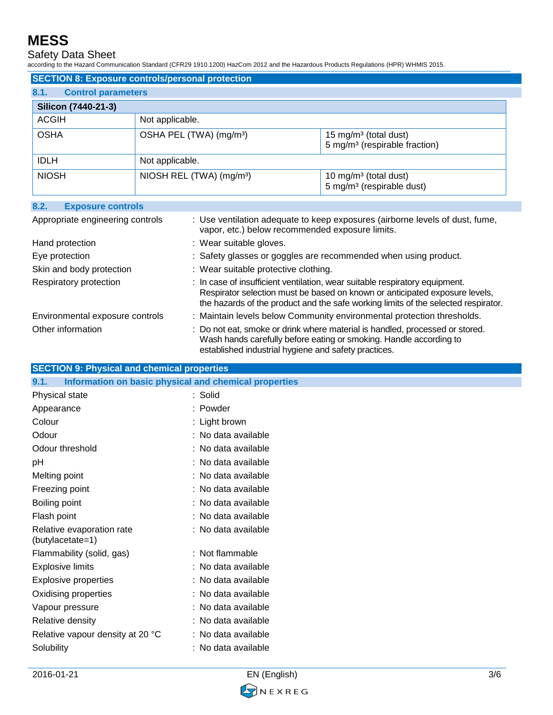Safety Data Sheet

according to the Hazard Communication Standard (CFR29 1910.1200) HazCom 2012 and the Hazardous Products Regulations (HPR) WHMIS 2015.

| <b>SECTION 8: Exposure controls/personal protection</b> |                                      |                                                                                |  |
|---------------------------------------------------------|--------------------------------------|--------------------------------------------------------------------------------|--|
| 8.1.<br><b>Control parameters</b>                       |                                      |                                                                                |  |
| Silicon (7440-21-3)                                     |                                      |                                                                                |  |
| <b>ACGIH</b>                                            | Not applicable.                      |                                                                                |  |
| <b>OSHA</b>                                             | OSHA PEL (TWA) (mg/m <sup>3</sup> )  | 15 mg/m <sup>3</sup> (total dust)<br>5 mg/m <sup>3</sup> (respirable fraction) |  |
| <b>IDLH</b>                                             | Not applicable.                      |                                                                                |  |
| <b>NIOSH</b>                                            | NIOSH REL (TWA) (mg/m <sup>3</sup> ) | 10 mg/m <sup>3</sup> (total dust)<br>5 mg/m <sup>3</sup> (respirable dust)     |  |

### **8.2. Exposure controls**

| Appropriate engineering controls | : Use ventilation adequate to keep exposures (airborne levels of dust, fume,<br>vapor, etc.) below recommended exposure limits.                                                                                                                  |
|----------------------------------|--------------------------------------------------------------------------------------------------------------------------------------------------------------------------------------------------------------------------------------------------|
| Hand protection                  | : Wear suitable gloves.                                                                                                                                                                                                                          |
| Eye protection                   | : Safety glasses or goggles are recommended when using product.                                                                                                                                                                                  |
| Skin and body protection         | : Wear suitable protective clothing.                                                                                                                                                                                                             |
| Respiratory protection           | : In case of insufficient ventilation, wear suitable respiratory equipment.<br>Respirator selection must be based on known or anticipated exposure levels,<br>the hazards of the product and the safe working limits of the selected respirator. |
| Environmental exposure controls  | : Maintain levels below Community environmental protection thresholds.                                                                                                                                                                           |
| Other information                | : Do not eat, smoke or drink where material is handled, processed or stored.<br>Wash hands carefully before eating or smoking. Handle according to<br>established industrial hygiene and safety practices.                                       |

### **SECTION 9: Physical and chemical properties**

| Information on basic physical and chemical properties<br>9.1. |                     |
|---------------------------------------------------------------|---------------------|
| Physical state                                                | : Solid             |
| Appearance                                                    | : Powder            |
| Colour                                                        | : Light brown       |
| Odour                                                         | : No data available |
| Odour threshold                                               | : No data available |
| pH                                                            | : No data available |
| Melting point                                                 | : No data available |
| Freezing point                                                | : No data available |
| Boiling point                                                 | : No data available |
| Flash point                                                   | : No data available |
| Relative evaporation rate<br>(butylacetate=1)                 | : No data available |
| Flammability (solid, gas)                                     | : Not flammable     |
| <b>Explosive limits</b>                                       | : No data available |
| <b>Explosive properties</b>                                   | : No data available |
| Oxidising properties                                          | : No data available |
| Vapour pressure                                               | : No data available |
| Relative density                                              | : No data available |
| Relative vapour density at 20 °C                              | : No data available |
| Solubility                                                    | : No data available |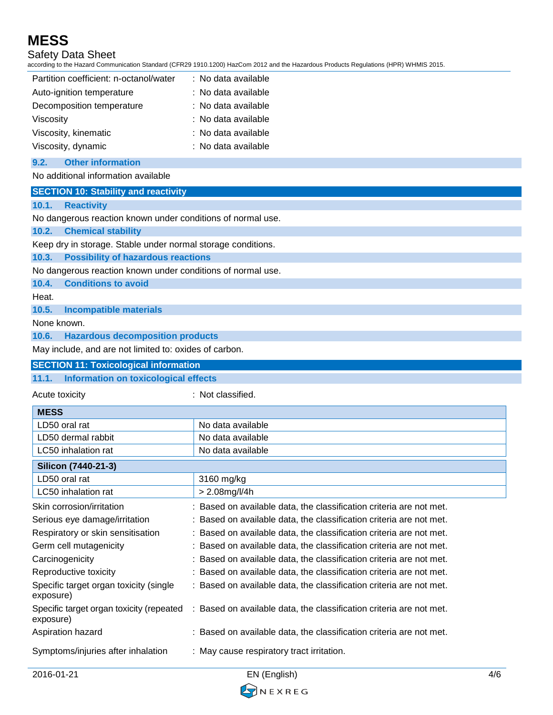## Safety Data Sheet

according to the Hazard Communication Standard (CFR29 1910.1200) HazCom 2012 and the Hazardous Products Regulations (HPR) WHMIS 2015.

| Partition coefficient: n-octanol/water | : No data available |
|----------------------------------------|---------------------|
| Auto-ignition temperature              | : No data available |
| Decomposition temperature              | : No data available |
| Viscosity                              | : No data available |
| Viscosity, kinematic                   | : No data available |
| Viscosity, dynamic                     | : No data available |

#### **9.2. Other information**

#### No additional information available

| <b>SECTION 10: Stability and reactivity</b> |
|---------------------------------------------|
|---------------------------------------------|

#### **10.1. Reactivity**

No dangerous reaction known under conditions of normal use.

#### **10.2. Chemical stability**

Keep dry in storage. Stable under normal storage conditions.

**10.3. Possibility of hazardous reactions**

No dangerous reaction known under conditions of normal use.

**10.4. Conditions to avoid**

Heat.

**10.5. Incompatible materials**

None known.

**10.6. Hazardous decomposition products**

May include, and are not limited to: oxides of carbon.

#### **SECTION 11: Toxicological information**

**11.1. Information on toxicological effects** Acute toxicity in the contract of the classified. **MESS** LD50 oral rat No data available LD50 dermal rabbit No data available LC50 inhalation rat No data available **Silicon (7440-21-3)** LD50 oral rat 3160 mg/kg LC50 inhalation rat  $\vert$  > 2.08mg/l/4h Skin corrosion/irritation : Based on available data, the classification criteria are not met. Serious eye damage/irritation : Based on available data, the classification criteria are not met. Respiratory or skin sensitisation : Based on available data, the classification criteria are not met. Germ cell mutagenicity  $\qquad \qquad :$  Based on available data, the classification criteria are not met. Carcinogenicity **State on available data, the classification criteria are not met.** Reproductive toxicity : Based on available data, the classification criteria are not met. Specific target organ toxicity (single exposure) : Based on available data, the classification criteria are not met. Specific target organ toxicity (repeated exposure) : Based on available data, the classification criteria are not met. Aspiration hazard **in the state on available data, the classification criteria are not met.** Symptoms/injuries after inhalation : May cause respiratory tract irritation.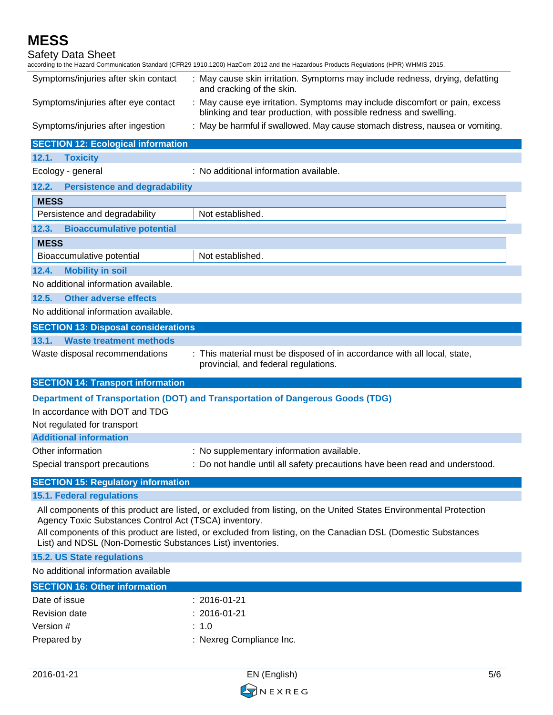| Safety Data Sheet                                          | according to the Hazard Communication Standard (CFR29 1910.1200) HazCom 2012 and the Hazardous Products Regulations (HPR) WHMIS 2015.            |
|------------------------------------------------------------|--------------------------------------------------------------------------------------------------------------------------------------------------|
| Symptoms/injuries after skin contact                       | : May cause skin irritation. Symptoms may include redness, drying, defatting<br>and cracking of the skin.                                        |
| Symptoms/injuries after eye contact                        | : May cause eye irritation. Symptoms may include discomfort or pain, excess<br>blinking and tear production, with possible redness and swelling. |
| Symptoms/injuries after ingestion                          | : May be harmful if swallowed. May cause stomach distress, nausea or vomiting.                                                                   |
| <b>SECTION 12: Ecological information</b>                  |                                                                                                                                                  |
| 12.1.<br><b>Toxicity</b>                                   |                                                                                                                                                  |
| Ecology - general                                          | : No additional information available.                                                                                                           |
| 12.2.<br><b>Persistence and degradability</b>              |                                                                                                                                                  |
| <b>MESS</b>                                                |                                                                                                                                                  |
| Persistence and degradability                              | Not established.                                                                                                                                 |
| 12.3.<br><b>Bioaccumulative potential</b>                  |                                                                                                                                                  |
| <b>MESS</b>                                                |                                                                                                                                                  |
| Bioaccumulative potential                                  | Not established.                                                                                                                                 |
| <b>Mobility in soil</b><br>12.4.                           |                                                                                                                                                  |
| No additional information available.                       |                                                                                                                                                  |
| 12.5.<br><b>Other adverse effects</b>                      |                                                                                                                                                  |
| No additional information available.                       |                                                                                                                                                  |
| <b>SECTION 13: Disposal considerations</b>                 |                                                                                                                                                  |
| 13.1.<br><b>Waste treatment methods</b>                    |                                                                                                                                                  |
| Waste disposal recommendations                             | : This material must be disposed of in accordance with all local, state,<br>provincial, and federal regulations.                                 |
| <b>SECTION 14: Transport information</b>                   |                                                                                                                                                  |
|                                                            | Department of Transportation (DOT) and Transportation of Dangerous Goods (TDG)                                                                   |
| In accordance with DOT and TDG                             |                                                                                                                                                  |
| Not regulated for transport                                |                                                                                                                                                  |
| <b>Additional information</b>                              |                                                                                                                                                  |
| Other information                                          | : No supplementary information available.                                                                                                        |
| Special transport precautions                              | : Do not handle until all safety precautions have been read and understood.                                                                      |
| <b>SECTION 15: Regulatory information</b>                  |                                                                                                                                                  |
| <b>15.1. Federal regulations</b>                           |                                                                                                                                                  |
| Agency Toxic Substances Control Act (TSCA) inventory.      | All components of this product are listed, or excluded from listing, on the United States Environmental Protection                               |
| List) and NDSL (Non-Domestic Substances List) inventories. | All components of this product are listed, or excluded from listing, on the Canadian DSL (Domestic Substances                                    |
| <b>15.2. US State regulations</b>                          |                                                                                                                                                  |
| No additional information available                        |                                                                                                                                                  |

| <b>SECTION 16: Other information</b> |                          |
|--------------------------------------|--------------------------|
| Date of issue                        | :2016-01-21              |
| <b>Revision date</b>                 | $: 2016 - 01 - 21$       |
| Version #                            | : 1.0                    |
| Prepared by                          | : Nexreg Compliance Inc. |